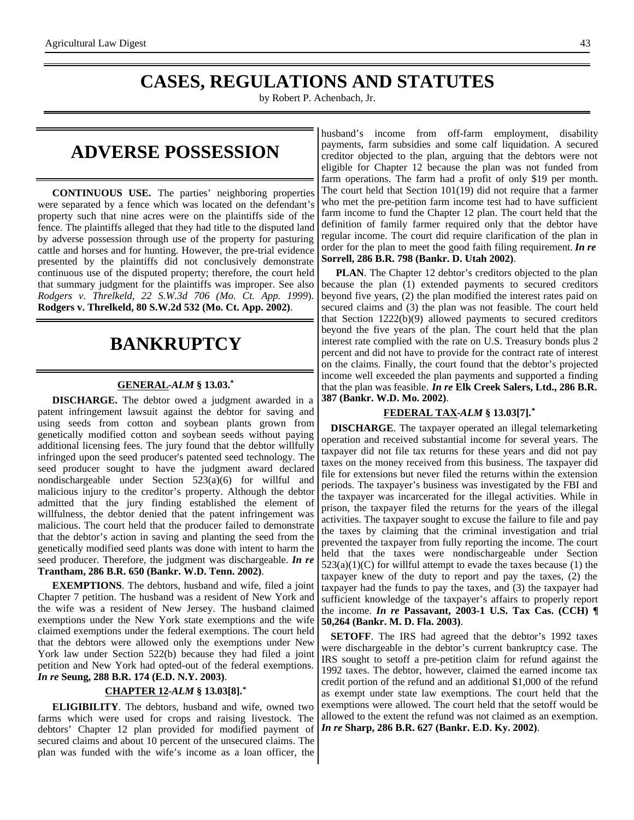### **CASES, REGULATIONS AND STATUTES**

by Robert P. Achenbach, Jr.

### **ADVERSE POSSESSION**

**CONTINUOUS USE.** The parties' neighboring properties were separated by a fence which was located on the defendant's property such that nine acres were on the plaintiffs side of the fence. The plaintiffs alleged that they had title to the disputed land by adverse possession through use of the property for pasturing cattle and horses and for hunting. However, the pre-trial evidence presented by the plaintiffs did not conclusively demonstrate continuous use of the disputed property; therefore, the court held that summary judgment for the plaintiffs was improper. See also *Rodgers v. Threlkeld, 22 S.W.3d 706 (Mo. Ct. App. 1999*). **Rodgers v. Threlkeld, 80 S.W.2d 532 (Mo. Ct. App. 2002)**.

### **BANKRUPTCY**

#### **GENERAL -***ALM* **§ 13.03.\***

**DISCHARGE.** The debtor owed a judgment awarded in a patent infringement lawsuit against the debtor for saving and using seeds from cotton and soybean plants grown from genetically modified cotton and soybean seeds without paying additional licensing fees. The jury found that the debtor willfully infringed upon the seed producer's patented seed technology. The seed producer sought to have the judgment award declared nondischargeable under Section 523(a)(6) for willful and malicious injury to the creditor's property. Although the debtor admitted that the jury finding established the element of willfulness, the debtor denied that the patent infringement was malicious. The court held that the producer failed to demonstrate that the debtor's action in saving and planting the seed from the genetically modified seed plants was done with intent to harm the seed producer. Therefore, the judgment was dischargeable. *In re* **Trantham, 286 B.R. 650 (Bankr. W.D. Tenn. 2002)**.

**EXEMPTIONS**. The debtors, husband and wife, filed a joint Chapter 7 petition. The husband was a resident of New York and the wife was a resident of New Jersey. The husband claimed exemptions under the New York state exemptions and the wife claimed exemptions under the federal exemptions. The court held that the debtors were allowed only the exemptions under New York law under Section 522(b) because they had filed a joint petition and New York had opted-out of the federal exemptions. *In re* **Seung, 288 B.R. 174 (E.D. N.Y. 2003)**.

#### **CHAPTER 12 -***ALM* **§ 13.03[8].\***

**ELIGIBILITY**. The debtors, husband and wife, owned two farms which were used for crops and raising livestock. The debtors' Chapter 12 plan provided for modified payment of secured claims and about 10 percent of the unsecured claims. The plan was funded with the wife's income as a loan officer, the

husband's income from off-farm employment, disability payments, farm subsidies and some calf liquidation. A secured creditor objected to the plan, arguing that the debtors were not eligible for Chapter 12 because the plan was not funded from farm operations. The farm had a profit of only \$19 per month. The court held that Section 101(19) did not require that a farmer who met the pre-petition farm income test had to have sufficient farm income to fund the Chapter 12 plan. The court held that the definition of family farmer required only that the debtor have regular income. The court did require clarification of the plan in order for the plan to meet the good faith filing requirement. *In re* **Sorrell, 286 B.R. 798 (Bankr. D. Utah 2002)**.

**PLAN**. The Chapter 12 debtor's creditors objected to the plan because the plan (1) extended payments to secured creditors beyond five years, (2) the plan modified the interest rates paid on secured claims and (3) the plan was not feasible. The court held that Section 1222(b)(9) allowed payments to secured creditors beyond the five years of the plan. The court held that the plan interest rate complied with the rate on U.S. Treasury bonds plus 2 percent and did not have to provide for the contract rate of interest on the claims. Finally, the court found that the debtor's projected income well exceeded the plan payments and supported a finding that the plan was feasible. *In re* **Elk Creek Salers, Ltd., 286 B.R. 387 (Bankr. W.D. Mo. 2002)**.

#### **FEDERAL TAX -***ALM* **§ 13.03[7].\***

**DISCHARGE**. The taxpayer operated an illegal telemarketing operation and received substantial income for several years. The taxpayer did not file tax returns for these years and did not pay taxes on the money received from this business. The taxpayer did file for extensions but never filed the returns within the extension periods. The taxpayer's business was investigated by the FBI and the taxpayer was incarcerated for the illegal activities. While in prison, the taxpayer filed the returns for the years of the illegal activities. The taxpayer sought to excuse the failure to file and pay the taxes by claiming that the criminal investigation and trial prevented the taxpayer from fully reporting the income. The court held that the taxes were nondischargeable under Section  $523(a)(1)(C)$  for willful attempt to evade the taxes because (1) the taxpayer knew of the duty to report and pay the taxes, (2) the taxpayer had the funds to pay the taxes, and (3) the taxpayer had sufficient knowledge of the taxpayer's affairs to properly report the income. *In re* **Passavant, 2003-1 U.S. Tax Cas. (CCH) ¶ 50,264 (Bankr. M. D. Fla. 2003)**.

**SETOFF**. The IRS had agreed that the debtor's 1992 taxes were dischargeable in the debtor's current bankruptcy case. The IRS sought to setoff a pre-petition claim for refund against the 1992 taxes. The debtor, however, claimed the earned income tax credit portion of the refund and an additional \$1,000 of the refund as exempt under state law exemptions. The court held that the exemptions were allowed. The court held that the setoff would be allowed to the extent the refund was not claimed as an exemption. *In re* **Sharp, 286 B.R. 627 (Bankr. E.D. Ky. 2002)**.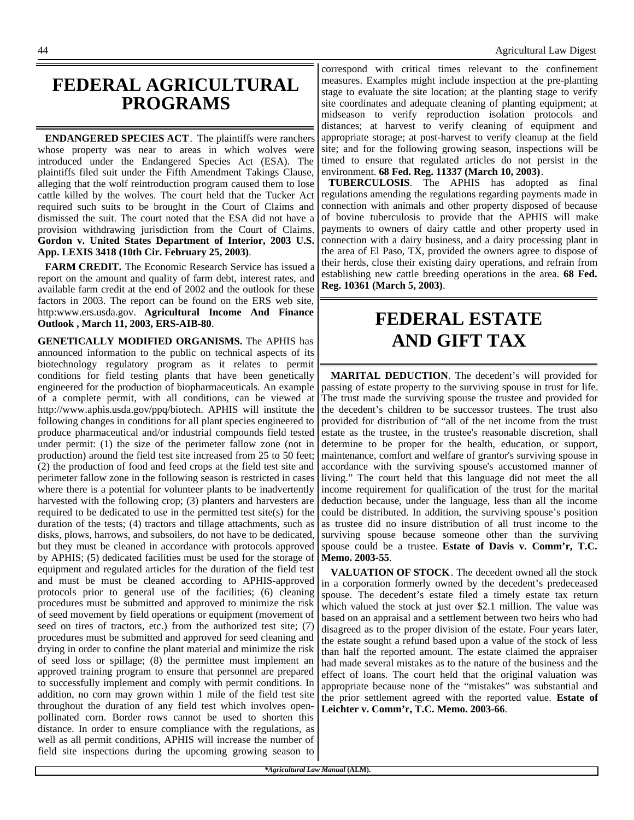### **FEDERAL AGRICULTURAL PROGRAMS**

**ENDANGERED SPECIES ACT**. The plaintiffs were ranchers whose property was near to areas in which wolves were introduced under the Endangered Species Act (ESA). The plaintiffs filed suit under the Fifth Amendment Takings Clause, alleging that the wolf reintroduction program caused them to lose cattle killed by the wolves. The court held that the Tucker Act required such suits to be brought in the Court of Claims and dismissed the suit. The court noted that the ESA did not have a provision withdrawing jurisdiction from the Court of Claims. **Gordon v. United States Department of Interior, 2003 U.S. App. LEXIS 3418 (10th Cir. February 25, 2003)**.

**FARM CREDIT.** The Economic Research Service has issued a report on the amount and quality of farm debt, interest rates, and available farm credit at the end of 2002 and the outlook for these factors in 2003. The report can be found on the ERS web site, http:www.ers.usda.gov. **Agricultural Income And Finance Outlook , March 11, 2003, ERS-AIB-80**.

**GENETICALLY MODIFIED ORGANISMS.** The APHIS has announced information to the public on technical aspects of its biotechnology regulatory program as it relates to permit conditions for field testing plants that have been genetically engineered for the production of biopharmaceuticals. An example of a complete permit, with all conditions, can be viewed at http://www.aphis.usda.gov/ppq/biotech. APHIS will institute the following changes in conditions for all plant species engineered to produce pharmaceutical and/or industrial compounds field tested under permit: (1) the size of the perimeter fallow zone (not in production) around the field test site increased from 25 to 50 feet; (2) the production of food and feed crops at the field test site and perimeter fallow zone in the following season is restricted in cases where there is a potential for volunteer plants to be inadvertently harvested with the following crop; (3) planters and harvesters are required to be dedicated to use in the permitted test site(s) for the duration of the tests; (4) tractors and tillage attachments, such as disks, plows, harrows, and subsoilers, do not have to be dedicated, but they must be cleaned in accordance with protocols approved by APHIS; (5) dedicated facilities must be used for the storage of equipment and regulated articles for the duration of the field test and must be must be cleaned according to APHIS-approved protocols prior to general use of the facilities; (6) cleaning procedures must be submitted and approved to minimize the risk of seed movement by field operations or equipment (movement of seed on tires of tractors, etc.) from the authorized test site; (7) procedures must be submitted and approved for seed cleaning and drying in order to confine the plant material and minimize the risk of seed loss or spillage; (8) the permittee must implement an approved training program to ensure that personnel are prepared to successfully implement and comply with permit conditions. In addition, no corn may grown within 1 mile of the field test site throughout the duration of any field test which involves openpollinated corn. Border rows cannot be used to shorten this distance. In order to ensure compliance with the regulations, as well as all permit conditions, APHIS will increase the number of field site inspections during the upcoming growing season to

correspond with critical times relevant to the confinement measures. Examples might include inspection at the pre-planting stage to evaluate the site location; at the planting stage to verify site coordinates and adequate cleaning of planting equipment; at midseason to verify reproduction isolation protocols and distances; at harvest to verify cleaning of equipment and appropriate storage; at post-harvest to verify cleanup at the field site; and for the following growing season, inspections will be timed to ensure that regulated articles do not persist in the environment. **68 Fed. Reg. 11337 (March 10, 2003)**.

**TUBERCULOSIS**. The APHIS has adopted as final regulations amending the regulations regarding payments made in connection with animals and other property disposed of because of bovine tuberculosis to provide that the APHIS will make payments to owners of dairy cattle and other property used in connection with a dairy business, and a dairy processing plant in the area of El Paso, TX, provided the owners agree to dispose of their herds, close their existing dairy operations, and refrain from establishing new cattle breeding operations in the area. **68 Fed. Reg. 10361 (March 5, 2003)**.

# **FEDERAL ESTATE AND GIFT TAX**

**MARITAL DEDUCTION**. The decedent's will provided for passing of estate property to the surviving spouse in trust for life. The trust made the surviving spouse the trustee and provided for the decedent's children to be successor trustees. The trust also provided for distribution of "all of the net income from the trust estate as the trustee, in the trustee's reasonable discretion, shall determine to be proper for the health, education, or support, maintenance, comfort and welfare of grantor's surviving spouse in accordance with the surviving spouse's accustomed manner of living." The court held that this language did not meet the all income requirement for qualification of the trust for the marital deduction because, under the language, less than all the income could be distributed. In addition, the surviving spouse's position as trustee did no insure distribution of all trust income to the surviving spouse because someone other than the surviving spouse could be a trustee. **Estate of Davis v. Comm'r, T.C. Memo. 2003-55**.

**VALUATION OF STOCK**. The decedent owned all the stock in a corporation formerly owned by the decedent's predeceased spouse. The decedent's estate filed a timely estate tax return which valued the stock at just over \$2.1 million. The value was based on an appraisal and a settlement between two heirs who had disagreed as to the proper division of the estate. Four years later, the estate sought a refund based upon a value of the stock of less than half the reported amount. The estate claimed the appraiser had made several mistakes as to the nature of the business and the effect of loans. The court held that the original valuation was appropriate because none of the "mistakes" was substantial and the prior settlement agreed with the reported value. **Estate of Leichter v. Comm'r, T.C. Memo. 2003-66**.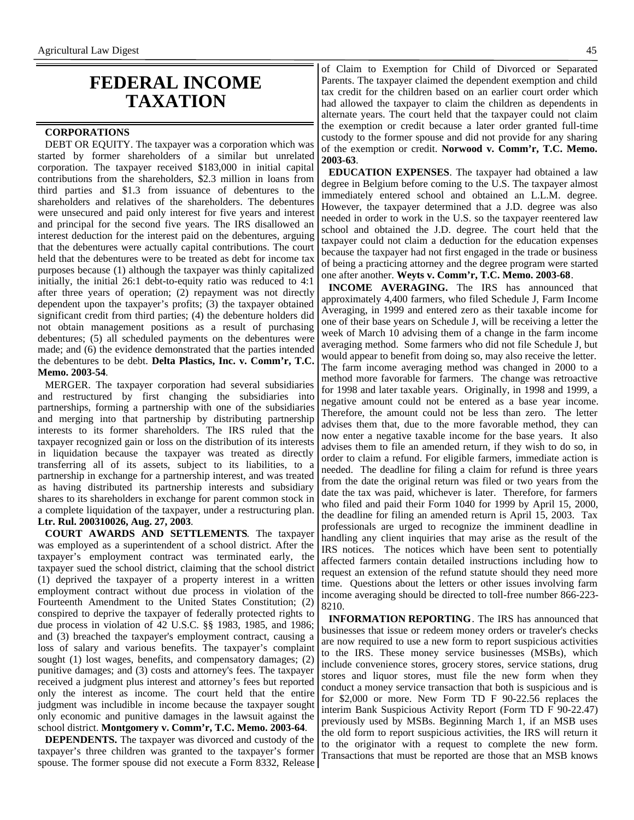### **FEDERAL INCOME TAXATION**

#### **CORPORATIONS**

DEBT OR EQUITY. The taxpayer was a corporation which was started by former shareholders of a similar but unrelated corporation. The taxpayer received \$183,000 in initial capital contributions from the shareholders, \$2.3 million in loans from third parties and \$1.3 from issuance of debentures to the shareholders and relatives of the shareholders. The debentures were unsecured and paid only interest for five years and interest and principal for the second five years. The IRS disallowed an interest deduction for the interest paid on the debentures, arguing that the debentures were actually capital contributions. The court held that the debentures were to be treated as debt for income tax purposes because (1) although the taxpayer was thinly capitalized initially, the initial 26:1 debt-to-equity ratio was reduced to 4:1 after three years of operation; (2) repayment was not directly dependent upon the taxpayer's profits; (3) the taxpayer obtained significant credit from third parties; (4) the debenture holders did not obtain management positions as a result of purchasing debentures; (5) all scheduled payments on the debentures were made; and (6) the evidence demonstrated that the parties intended the debentures to be debt. **Delta Plastics, Inc. v. Comm'r, T.C. Memo. 2003-54**.

MERGER. The taxpayer corporation had several subsidiaries and restructured by first changing the subsidiaries into partnerships, forming a partnership with one of the subsidiaries and merging into that partnership by distributing partnership interests to its former shareholders. The IRS ruled that the taxpayer recognized gain or loss on the distribution of its interests in liquidation because the taxpayer was treated as directly transferring all of its assets, subject to its liabilities, to a partnership in exchange for a partnership interest, and was treated as having distributed its partnership interests and subsidiary shares to its shareholders in exchange for parent common stock in a complete liquidation of the taxpayer, under a restructuring plan. **Ltr. Rul. 200310026, Aug. 27, 2003**.

**COURT AWARDS AND SETTLEMENTS**. The taxpayer was employed as a superintendent of a school district. After the taxpayer's employment contract was terminated early, the taxpayer sued the school district, claiming that the school district (1) deprived the taxpayer of a property interest in a written employment contract without due process in violation of the Fourteenth Amendment to the United States Constitution; (2) conspired to deprive the taxpayer of federally protected rights to due process in violation of 42 U.S.C. §§ 1983, 1985, and 1986; and (3) breached the taxpayer's employment contract, causing a loss of salary and various benefits. The taxpayer's complaint sought (1) lost wages, benefits, and compensatory damages; (2) punitive damages; and (3) costs and attorney's fees. The taxpayer received a judgment plus interest and attorney's fees but reported only the interest as income. The court held that the entire judgment was includible in income because the taxpayer sought only economic and punitive damages in the lawsuit against the school district. **Montgomery v. Comm'r, T.C. Memo. 2003-64**.

**DEPENDENTS.** The taxpayer was divorced and custody of the taxpayer's three children was granted to the taxpayer's former spouse. The former spouse did not execute a Form 8332, Release

of Claim to Exemption for Child of Divorced or Separated Parents. The taxpayer claimed the dependent exemption and child tax credit for the children based on an earlier court order which had allowed the taxpayer to claim the children as dependents in alternate years. The court held that the taxpayer could not claim the exemption or credit because a later order granted full-time custody to the former spouse and did not provide for any sharing of the exemption or credit. **Norwood v. Comm'r, T.C. Memo. 2003-63**.

**EDUCATION EXPENSES**. The taxpayer had obtained a law degree in Belgium before coming to the U.S. The taxpayer almost immediately entered school and obtained an L.L.M. degree. However, the taxpayer determined that a J.D. degree was also needed in order to work in the U.S. so the taxpayer reentered law school and obtained the J.D. degree. The court held that the taxpayer could not claim a deduction for the education expenses because the taxpayer had not first engaged in the trade or business of being a practicing attorney and the degree program were started one after another. **Weyts v. Comm'r, T.C. Memo. 2003-68**.

**INCOME AVERAGING.** The IRS has announced that approximately 4,400 farmers, who filed Schedule J, Farm Income Averaging, in 1999 and entered zero as their taxable income for one of their base years on Schedule J, will be receiving a letter the week of March 10 advising them of a change in the farm income averaging method. Some farmers who did not file Schedule J, but would appear to benefit from doing so, may also receive the letter. The farm income averaging method was changed in 2000 to a method more favorable for farmers. The change was retroactive for 1998 and later taxable years. Originally, in 1998 and 1999, a negative amount could not be entered as a base year income. Therefore, the amount could not be less than zero. The letter advises them that, due to the more favorable method, they can now enter a negative taxable income for the base years. It also advises them to file an amended return, if they wish to do so, in order to claim a refund. For eligible farmers, immediate action is needed. The deadline for filing a claim for refund is three years from the date the original return was filed or two years from the date the tax was paid, whichever is later. Therefore, for farmers who filed and paid their Form 1040 for 1999 by April 15, 2000, the deadline for filing an amended return is April 15, 2003. Tax professionals are urged to recognize the imminent deadline in handling any client inquiries that may arise as the result of the IRS notices. The notices which have been sent to potentially affected farmers contain detailed instructions including how to request an extension of the refund statute should they need more time. Questions about the letters or other issues involving farm income averaging should be directed to toll-free number 866-223- 8210.

**INFORMATION REPORTING**. The IRS has announced that businesses that issue or redeem money orders or traveler's checks are now required to use a new form to report suspicious activities to the IRS. These money service businesses (MSBs), which include convenience stores, grocery stores, service stations, drug stores and liquor stores, must file the new form when they conduct a money service transaction that both is suspicious and is for \$2,000 or more. New Form TD F 90-22.56 replaces the interim Bank Suspicious Activity Report (Form TD F 90-22.47) previously used by MSBs. Beginning March 1, if an MSB uses the old form to report suspicious activities, the IRS will return it to the originator with a request to complete the new form. Transactions that must be reported are those that an MSB knows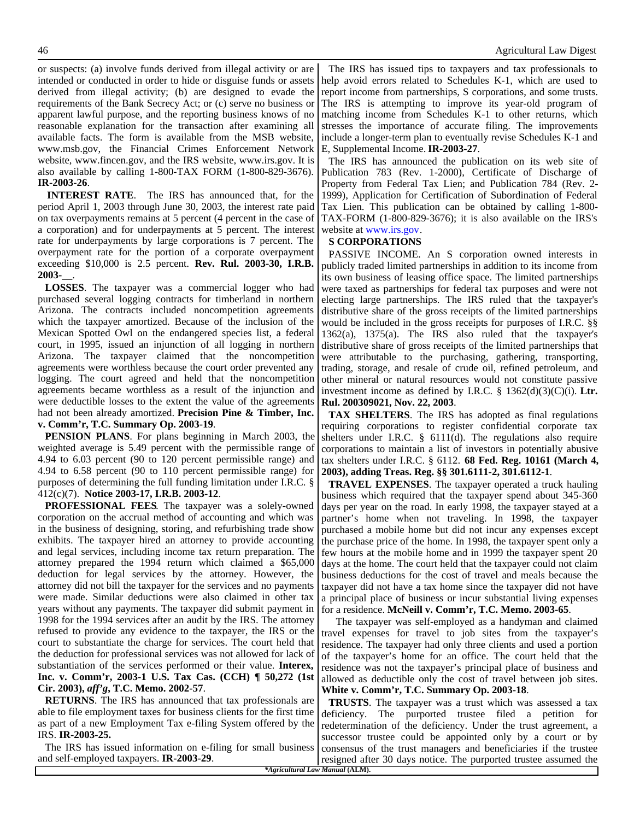or suspects: (a) involve funds derived from illegal activity or are intended or conducted in order to hide or disguise funds or assets derived from illegal activity; (b) are designed to evade the requirements of the Bank Secrecy Act; or (c) serve no business or apparent lawful purpose, and the reporting business knows of no reasonable explanation for the transaction after examining all available facts. The form is available from the MSB website, www.msb.gov, the Financial Crimes Enforcement Network website, www.fincen.gov, and the IRS website, www.irs.gov. It is also available by calling 1-800-TAX FORM (1-800-829-3676). **IR-2003-26**.

**INTEREST RATE**. The IRS has announced that, for the period April 1, 2003 through June 30, 2003, the interest rate paid on tax overpayments remains at 5 percent (4 percent in the case of a corporation) and for underpayments at 5 percent. The interest rate for underpayments by large corporations is 7 percent. The overpayment rate for the portion of a corporate overpayment exceeding \$10,000 is 2.5 percent. **Rev. Rul. 2003-30, I.R.B. 2003-\_\_**.

**LOSSES**. The taxpayer was a commercial logger who had purchased several logging contracts for timberland in northern Arizona. The contracts included noncompetition agreements which the taxpayer amortized. Because of the inclusion of the Mexican Spotted Owl on the endangered species list, a federal court, in 1995, issued an injunction of all logging in northern Arizona. The taxpayer claimed that the noncompetition agreements were worthless because the court order prevented any logging. The court agreed and held that the noncompetition agreements became worthless as a result of the injunction and were deductible losses to the extent the value of the agreements had not been already amortized. **Precision Pine & Timber, Inc. v. Comm'r, T.C. Summary Op. 2003-19**.

**PENSION PLANS**. For plans beginning in March 2003, the weighted average is 5.49 percent with the permissible range of 4.94 to 6.03 percent (90 to 120 percent permissible range) and 4.94 to 6.58 percent (90 to 110 percent permissible range) for purposes of determining the full funding limitation under I.R.C. § 412(c)(7). **Notice 2003-17, I.R.B. 2003-12**.

**PROFESSIONAL FEES**. The taxpayer was a solely-owned corporation on the accrual method of accounting and which was in the business of designing, storing, and refurbishing trade show exhibits. The taxpayer hired an attorney to provide accounting and legal services, including income tax return preparation. The attorney prepared the 1994 return which claimed a \$65,000 deduction for legal services by the attorney. However, the attorney did not bill the taxpayer for the services and no payments were made. Similar deductions were also claimed in other tax years without any payments. The taxpayer did submit payment in 1998 for the 1994 services after an audit by the IRS. The attorney refused to provide any evidence to the taxpayer, the IRS or the court to substantiate the charge for services. The court held that the deduction for professional services was not allowed for lack of substantiation of the services performed or their value. **Interex, Inc. v. Comm'r, 2003-1 U.S. Tax Cas. (CCH) ¶ 50,272 (1st Cir. 2003),** *aff'g***, T.C. Memo. 2002-57**.

**RETURNS**. The IRS has announced that tax professionals are able to file employment taxes for business clients for the first time as part of a new Employment Tax e-filing System offered by the IRS. **IR-2003-25.**

The IRS has issued information on e-filing for small business and self-employed taxpayers. **IR-2003-29**.

The IRS has issued tips to taxpayers and tax professionals to help avoid errors related to Schedules K-1, which are used to report income from partnerships, S corporations, and some trusts. The IRS is attempting to improve its year-old program of matching income from Schedules K-1 to other returns, which stresses the importance of accurate filing. The improvements include a longer-term plan to eventually revise Schedules K-1 and E, Supplemental Income.**IR-2003-27**.

The IRS has announced the publication on its web site of Publication 783 (Rev. 1-2000), Certificate of Discharge of Property from Federal Tax Lien; and Publication 784 (Rev. 2- 1999), Application for Certification of Subordination of Federal Tax Lien. This publication can be obtained by calling 1-800- TAX-FORM (1-800-829-3676); it is also available on the IRS's website at www.irs.gov.

#### **S CORPORATIONS**

PASSIVE INCOME. An S corporation owned interests in publicly traded limited partnerships in addition to its income from its own business of leasing office space. The limited partnerships were taxed as partnerships for federal tax purposes and were not electing large partnerships. The IRS ruled that the taxpayer's distributive share of the gross receipts of the limited partnerships would be included in the gross receipts for purposes of I.R.C. §§ 1362(a), 1375(a). The IRS also ruled that the taxpayer's distributive share of gross receipts of the limited partnerships that were attributable to the purchasing, gathering, transporting, trading, storage, and resale of crude oil, refined petroleum, and other mineral or natural resources would not constitute passive investment income as defined by I.R.C. § 1362(d)(3)(C)(i). **Ltr. Rul. 200309021, Nov. 22, 2003**.

**TAX SHELTERS**. The IRS has adopted as final regulations requiring corporations to register confidential corporate tax shelters under I.R.C. § 6111(d). The regulations also require corporations to maintain a list of investors in potentially abusive tax shelters under I.R.C. § 6112. **68 Fed. Reg. 10161 (March 4, 2003), adding Treas. Reg. §§ 301.6111-2, 301.6112-1**.

**TRAVEL EXPENSES**. The taxpayer operated a truck hauling business which required that the taxpayer spend about 345-360 days per year on the road. In early 1998, the taxpayer stayed at a partner's home when not traveling. In 1998, the taxpayer purchased a mobile home but did not incur any expenses except the purchase price of the home. In 1998, the taxpayer spent only a few hours at the mobile home and in 1999 the taxpayer spent 20 days at the home. The court held that the taxpayer could not claim business deductions for the cost of travel and meals because the taxpayer did not have a tax home since the taxpayer did not have a principal place of business or incur substantial living expenses for a residence. **McNeill v. Comm'r, T.C. Memo. 2003-65**.

The taxpayer was self-employed as a handyman and claimed travel expenses for travel to job sites from the taxpayer's residence. The taxpayer had only three clients and used a portion of the taxpayer's home for an office. The court held that the residence was not the taxpayer's principal place of business and allowed as deductible only the cost of travel between job sites. **White v. Comm'r, T.C. Summary Op. 2003-18**.

**TRUSTS**. The taxpayer was a trust which was assessed a tax deficiency. The purported trustee filed a petition for redetermination of the deficiency. Under the trust agreement, a successor trustee could be appointed only by a court or by consensus of the trust managers and beneficiaries if the trustee resigned after 30 days notice. The purported trustee assumed the

*\*Agricultural Law Manual* **(ALM).**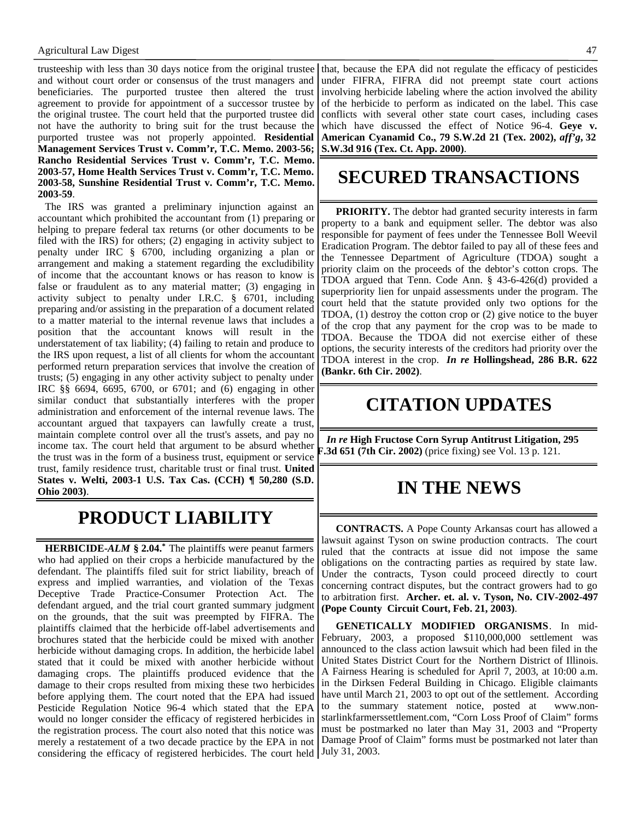#### Agricultural Law Digest 47

trusteeship with less than 30 days notice from the original trustee and without court order or consensus of the trust managers and beneficiaries. The purported trustee then altered the trust agreement to provide for appointment of a successor trustee by the original trustee. The court held that the purported trustee did not have the authority to bring suit for the trust because the purported trustee was not properly appointed. **Residential Management Services Trust v. Comm'r, T.C. Memo. 2003-56; Rancho Residential Services Trust v. Comm'r, T.C. Memo. 2003-57, Home Health Services Trust v. Comm'r, T.C. Memo. 2003-58, Sunshine Residential Trust v. Comm'r, T.C. Memo. 2003-59**.

The IRS was granted a preliminary injunction against an accountant which prohibited the accountant from (1) preparing or helping to prepare federal tax returns (or other documents to be filed with the IRS) for others; (2) engaging in activity subject to penalty under IRC § 6700, including organizing a plan or arrangement and making a statement regarding the excludibility of income that the accountant knows or has reason to know is false or fraudulent as to any material matter; (3) engaging in activity subject to penalty under I.R.C. § 6701, including preparing and/or assisting in the preparation of a document related to a matter material to the internal revenue laws that includes a position that the accountant knows will result in the understatement of tax liability; (4) failing to retain and produce to the IRS upon request, a list of all clients for whom the accountant performed return preparation services that involve the creation of trusts; (5) engaging in any other activity subject to penalty under IRC §§ 6694, 6695, 6700, or 6701; and (6) engaging in other similar conduct that substantially interferes with the proper administration and enforcement of the internal revenue laws. The accountant argued that taxpayers can lawfully create a trust, maintain complete control over all the trust's assets, and pay no income tax. The court held that argument to be absurd whether the trust was in the form of a business trust, equipment or service trust, family residence trust, charitable trust or final trust. **United States v. Welti, 2003-1 U.S. Tax Cas. (CCH) ¶ 50,280 (S.D. Ohio 2003)**.

### **PRODUCT LIABILITY**

**HERBICIDE-***ALM* **§ 2.04.\*** The plaintiffs were peanut farmers who had applied on their crops a herbicide manufactured by the defendant. The plaintiffs filed suit for strict liability, breach of express and implied warranties, and violation of the Texas Deceptive Trade Practice-Consumer Protection Act. The defendant argued, and the trial court granted summary judgment on the grounds, that the suit was preempted by FIFRA. The plaintiffs claimed that the herbicide off-label advertisements and brochures stated that the herbicide could be mixed with another herbicide without damaging crops. In addition, the herbicide label stated that it could be mixed with another herbicide without damaging crops. The plaintiffs produced evidence that the damage to their crops resulted from mixing these two herbicides before applying them. The court noted that the EPA had issued Pesticide Regulation Notice 96-4 which stated that the EPA would no longer consider the efficacy of registered herbicides in the registration process. The court also noted that this notice was merely a restatement of a two decade practice by the EPA in not considering the efficacy of registered herbicides. The court held

that, because the EPA did not regulate the efficacy of pesticides under FIFRA, FIFRA did not preempt state court actions involving herbicide labeling where the action involved the ability of the herbicide to perform as indicated on the label. This case conflicts with several other state court cases, including cases which have discussed the effect of Notice 96-4. **Geye v. American Cyanamid Co., 79 S.W.2d 21 (Tex. 2002),** *aff'g***, 32 S.W.3d 916 (Tex. Ct. App. 2000)**.

### **SECURED TRANSACTIONS**

**PRIORITY.** The debtor had granted security interests in farm property to a bank and equipment seller. The debtor was also responsible for payment of fees under the Tennessee Boll Weevil Eradication Program. The debtor failed to pay all of these fees and the Tennessee Department of Agriculture (TDOA) sought a priority claim on the proceeds of the debtor's cotton crops. The TDOA argued that Tenn. Code Ann. § 43-6-426(d) provided a superpriority lien for unpaid assessments under the program. The court held that the statute provided only two options for the TDOA, (1) destroy the cotton crop or (2) give notice to the buyer of the crop that any payment for the crop was to be made to TDOA. Because the TDOA did not exercise either of these options, the security interests of the creditors had priority over the TDOA interest in the crop. *In re* **Hollingshead, 286 B.R. 622 (Bankr. 6th Cir. 2002)**.

# **CITATION UPDATES**

*In re* **High Fructose Corn Syrup Antitrust Litigation, 295 F.3d 651 (7th Cir. 2002)** (price fixing) see Vol. 13 p. 121.

## **IN THE NEWS**

**CONTRACTS.** A Pope County Arkansas court has allowed a lawsuit against Tyson on swine production contracts. The court ruled that the contracts at issue did not impose the same obligations on the contracting parties as required by state law. Under the contracts, Tyson could proceed directly to court concerning contract disputes, but the contract growers had to go to arbitration first. **Archer. et. al. v. Tyson, No. CIV-2002-497 (Pope County Circuit Court, Feb. 21, 2003)**.

**GENETICALLY MODIFIED ORGANISMS**. In mid-February, 2003, a proposed \$110,000,000 settlement was announced to the class action lawsuit which had been filed in the United States District Court for the Northern District of Illinois. A Fairness Hearing is scheduled for April 7, 2003, at 10:00 a.m. in the Dirksen Federal Building in Chicago. Eligible claimants have until March 21, 2003 to opt out of the settlement. According to the summary statement notice, posted at www.nonstarlinkfarmerssettlement.com, "Corn Loss Proof of Claim" forms must be postmarked no later than May 31, 2003 and "Property Damage Proof of Claim" forms must be postmarked not later than July 31, 2003.